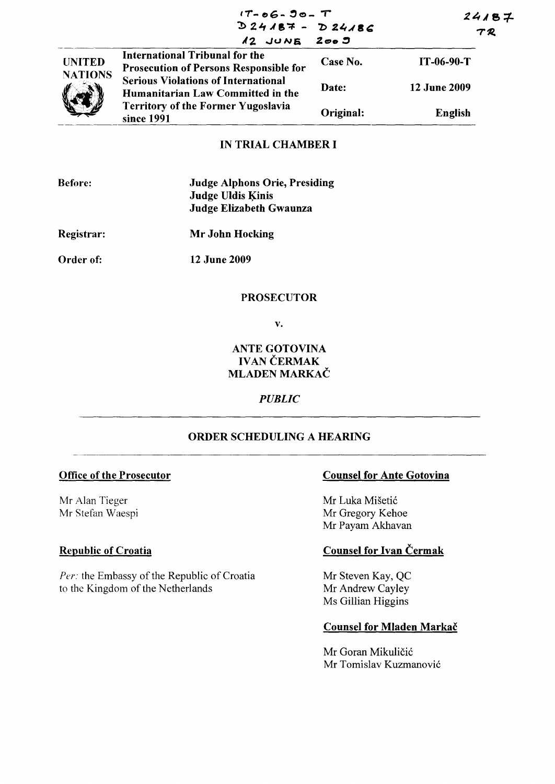|                                 | $17 - 06 - 90 - T$<br>$D24187 - D24186$<br>$12$ JUNE $2005$                            |           | 24187<br>TR         |
|---------------------------------|----------------------------------------------------------------------------------------|-----------|---------------------|
| <b>UNITED</b><br><b>NATIONS</b> | <b>International Tribunal for the</b><br><b>Prosecution of Persons Responsible for</b> | Case No.  | $IT-06-90-T$        |
|                                 | <b>Serious Violations of International</b><br>Humanitarian Law Committed in the        | Date:     | <b>12 June 2009</b> |
|                                 | <b>Territory of the Former Yugoslavia</b><br>since 1991                                | Original: | English             |

## **IN TRIAL CHAMBER I**

| <b>Before:</b> | <b>Judge Alphons Orie, Presiding</b><br><b>Judge Uldis Kinis</b><br>Judge Elizabeth Gwaunza |
|----------------|---------------------------------------------------------------------------------------------|
| Registrar:     | Mr John Hocking                                                                             |
| Order of:      | 12 June 2009                                                                                |

## **PROSECUTOR**

 $\mathbf{v}$ .

## **ANTE GOTOVINA IVAN ČERMAK MLADEN MARKAČ**

## **PUBLIC**

## ORDER SCHEDULING A HEARING

#### **Office of the Prosecutor**

Mr Alan Tieger Mr Stefan Waespi

## **Republic of Croatia**

Per: the Embassy of the Republic of Croatia to the Kingdom of the Netherlands

#### **Counsel for Ante Gotovina**

Mr Luka Mišetić Mr Gregory Kehoe Mr Payam Akhavan

# **Counsel for Ivan Čermak**

Mr Steven Kay, QC Mr Andrew Cayley Ms Gillian Higgins

## **Counsel for Mladen Markač**

Mr Goran Mikuličić Mr Tomislav Kuzmanović